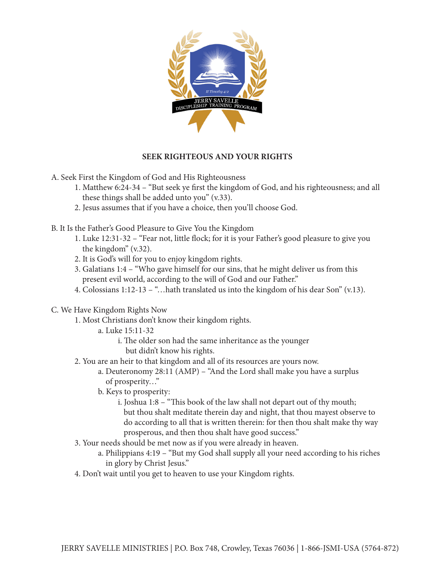

## **SEEK RIGHTEOUS AND YOUR RIGHTS**

A. Seek First the Kingdom of God and His Righteousness

- 1. Matthew 6:24-34 "But seek ye first the kingdom of God, and his righteousness; and all these things shall be added unto you" (v.33).
- 2. Jesus assumes that if you have a choice, then you'll choose God.
- B. It Is the Father's Good Pleasure to Give You the Kingdom
	- 1. Luke 12:31-32 "Fear not, little flock; for it is your Father's good pleasure to give you the kingdom" (v.32).
	- 2. It is God's will for you to enjoy kingdom rights.
	- 3. Galatians 1:4 "Who gave himself for our sins, that he might deliver us from this present evil world, according to the will of God and our Father."
	- 4. Colossians 1:12-13 "…hath translated us into the kingdom of his dear Son" (v.13).
- C. We Have Kingdom Rights Now
	- 1. Most Christians don't know their kingdom rights.
		- a. Luke 15:11-32
			- i. The older son had the same inheritance as the younger but didn't know his rights.
	- 2. You are an heir to that kingdom and all of its resources are yours now.
		- a. Deuteronomy 28:11 (AMP) "And the Lord shall make you have a surplus of prosperity…"
		- b. Keys to prosperity:
			- i. Joshua 1:8 "This book of the law shall not depart out of thy mouth; but thou shalt meditate therein day and night, that thou mayest observe to do according to all that is written therein: for then thou shalt make thy way prosperous, and then thou shalt have good success."
	- 3. Your needs should be met now as if you were already in heaven.
		- a. Philippians 4:19 "But my God shall supply all your need according to his riches in glory by Christ Jesus."
	- 4. Don't wait until you get to heaven to use your Kingdom rights.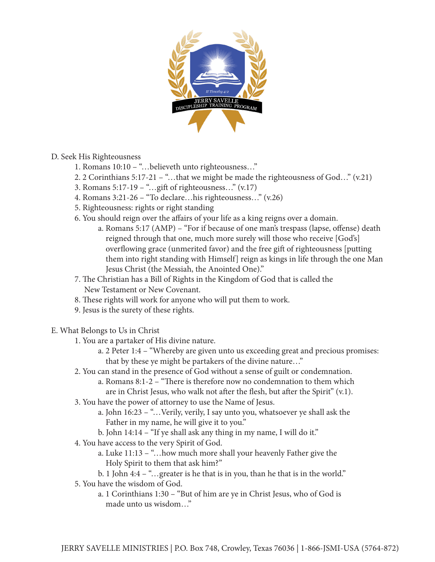

### D. Seek His Righteousness

- 1. Romans 10:10 "…believeth unto righteousness…"
- 2. 2 Corinthians 5:17-21 "…that we might be made the righteousness of God…" (v.21)
- 3. Romans 5:17-19 "…gift of righteousness..."  $(v.17)$
- 4. Romans 3:21-26 "To declare…his righteousness…" (v.26)
- 5. Righteousness: rights or right standing
- 6. You should reign over the affairs of your life as a king reigns over a domain.
	- a. Romans 5:17 (AMP) "For if because of one man's trespass (lapse, offense) death reigned through that one, much more surely will those who receive [God's] overflowing grace (unmerited favor) and the free gift of righteousness [putting them into right standing with Himself] reign as kings in life through the one Man Jesus Christ (the Messiah, the Anointed One)."
- 7. The Christian has a Bill of Rights in the Kingdom of God that is called the New Testament or New Covenant.
- 8. These rights will work for anyone who will put them to work.
- 9. Jesus is the surety of these rights.
- E. What Belongs to Us in Christ
	- 1. You are a partaker of His divine nature.
		- a. 2 Peter 1:4 "Whereby are given unto us exceeding great and precious promises: that by these ye might be partakers of the divine nature…"
	- 2. You can stand in the presence of God without a sense of guilt or condemnation. a. Romans 8:1-2 – "There is therefore now no condemnation to them which are in Christ Jesus, who walk not after the flesh, but after the Spirit" (v.1).
	- 3. You have the power of attorney to use the Name of Jesus.
		- a. John 16:23 "…Verily, verily, I say unto you, whatsoever ye shall ask the Father in my name, he will give it to you."
		- b. John 14:14 "If ye shall ask any thing in my name, I will do it."
	- 4. You have access to the very Spirit of God.
		- a. Luke 11:13 "…how much more shall your heavenly Father give the Holy Spirit to them that ask him?"
		- b. 1 John 4:4 "…greater is he that is in you, than he that is in the world."
	- 5. You have the wisdom of God.
		- a. 1 Corinthians 1:30 "But of him are ye in Christ Jesus, who of God is made unto us wisdom…"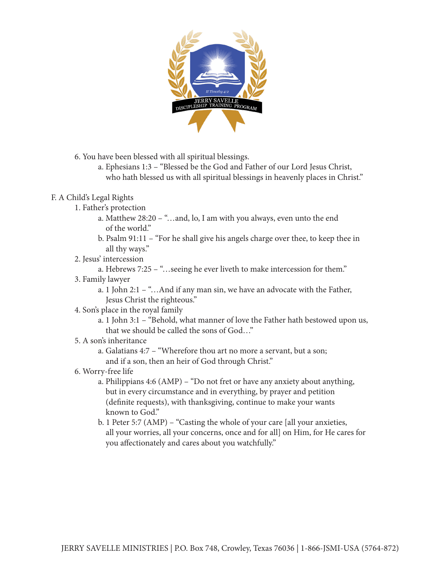

6. You have been blessed with all spiritual blessings.

 a. Ephesians 1:3 – "Blessed be the God and Father of our Lord Jesus Christ, who hath blessed us with all spiritual blessings in heavenly places in Christ."

## F. A Child's Legal Rights

- 1. Father's protection
	- a. Matthew 28:20 "…and, lo, I am with you always, even unto the end of the world."
	- b. Psalm 91:11 "For he shall give his angels charge over thee, to keep thee in all thy ways."
- 2. Jesus' intercession
	- a. Hebrews 7:25 "…seeing he ever liveth to make intercession for them."
- 3. Family lawyer
	- a. 1 John 2:1 "…And if any man sin, we have an advocate with the Father, Jesus Christ the righteous."
- 4. Son's place in the royal family
	- a. 1 John 3:1 "Behold, what manner of love the Father hath bestowed upon us, that we should be called the sons of God…"

# 5. A son's inheritance

- a. Galatians 4:7 "Wherefore thou art no more a servant, but a son; and if a son, then an heir of God through Christ."
- 6. Worry-free life
	- a. Philippians 4:6 (AMP) "Do not fret or have any anxiety about anything, but in every circumstance and in everything, by prayer and petition (definite requests), with thanksgiving, continue to make your wants known to God."
	- b. 1 Peter 5:7 (AMP) "Casting the whole of your care [all your anxieties, all your worries, all your concerns, once and for all] on Him, for He cares for you affectionately and cares about you watchfully."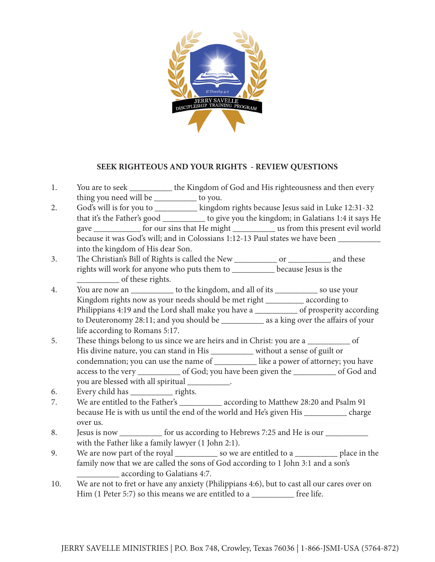

### **SEEK RIGHTEOUS AND YOUR RIGHTS - REVIEW QUESTIONS**

- 1. You are to seek \_\_\_\_\_\_\_\_\_\_ the Kingdom of God and His righteousness and then every thing you need will be \_\_\_\_\_\_\_\_\_\_ to you.
- 2. God's will is for you to \_\_\_\_\_\_\_\_\_\_ kingdom rights because Jesus said in Luke 12:31-32 that it's the Father's good \_\_\_\_\_\_\_\_\_\_ to give you the kingdom; in Galatians 1:4 it says He gave \_\_\_\_\_\_\_\_\_\_\_ for our sins that He might \_\_\_\_\_\_\_\_\_\_ us from this present evil world because it was God's will; and in Colossians 1:12-13 Paul states we have been \_\_\_\_\_\_\_\_ into the kingdom of His dear Son.
- 3. The Christian's Bill of Rights is called the New \_\_\_\_\_\_\_\_\_\_ or \_\_\_\_\_\_\_\_\_\_ and these rights will work for anyone who puts them to \_\_\_\_\_\_\_\_\_\_ because Jesus is the of these rights.
- 4. You are now an \_\_\_\_\_\_\_\_\_\_ to the kingdom, and all of its \_\_\_\_\_\_\_\_\_\_ so use your Kingdom rights now as your needs should be met right \_\_\_\_\_\_\_\_\_ according to Philippians 4:19 and the Lord shall make you have a \_\_\_\_\_\_\_\_\_\_\_\_ of prosperity according to Deuteronomy 28:11; and you should be \_\_\_\_\_\_\_\_\_\_ as a king over the affairs of your life according to Romans 5:17.
- 5. These things belong to us since we are heirs and in Christ: you are a \_\_\_\_\_\_\_\_\_\_ of His divine nature, you can stand in His \_\_\_\_\_\_\_\_\_\_ without a sense of guilt or condemnation; you can use the name of \_\_\_\_\_\_\_\_\_\_ like a power of attorney; you have access to the very \_\_\_\_\_\_\_\_\_\_ of God; you have been given the \_\_\_\_\_\_\_\_\_\_ of God and you are blessed with all spiritual \_\_\_\_\_\_\_\_\_\_.
- 6. Every child has \_\_\_\_\_\_\_\_\_\_ rights.
- 7. We are entitled to the Father's according to Matthew 28:20 and Psalm 91 because He is with us until the end of the world and He's given His \_\_\_\_\_\_\_\_\_\_ charge over us.
- 8. Jesus is now \_\_\_\_\_\_\_\_\_\_\_ for us according to Hebrews 7:25 and He is our \_\_\_\_\_\_\_\_\_\_\_ with the Father like a family lawyer (1 John 2:1).
- 9. We are now part of the royal so we are entitled to a second place in the family now that we are called the sons of God according to 1 John 3:1 and a son's \_\_\_\_\_\_\_\_\_\_ according to Galatians 4:7.
- 10. We are not to fret or have any anxiety (Philippians 4:6), but to cast all our cares over on Him (1 Peter 5:7) so this means we are entitled to a \_\_\_\_\_\_\_\_\_\_\_\_ free life.